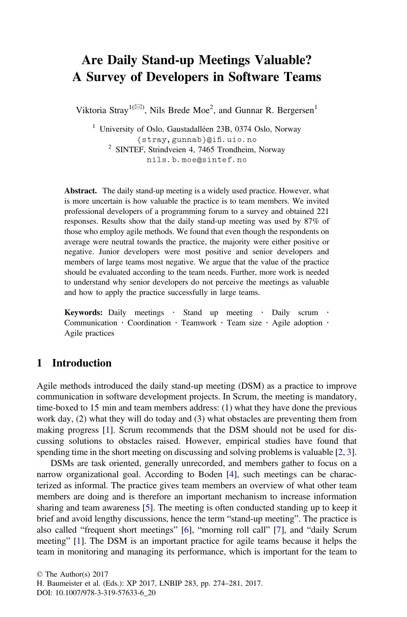# Are Daily Stand-up Meetings Valuable? A Survey of Developers in Software Teams

Viktoria Stray<sup>1( $\boxtimes$ )</sup>, Nils Brede Moe<sup>2</sup>, and Gunnar R. Bergersen<sup>1</sup>

<sup>1</sup> University of Oslo, Gaustadalléen 23B, 0374 Oslo, Norway {stray,gunnab}@ifi.uio.no <sup>2</sup> SINTEF, Strindveien 4, 7465 Trondheim, Norway nils.b.moe@sintef.no

Abstract. The daily stand-up meeting is a widely used practice. However, what is more uncertain is how valuable the practice is to team members. We invited professional developers of a programming forum to a survey and obtained 221 responses. Results show that the daily stand-up meeting was used by 87% of those who employ agile methods. We found that even though the respondents on average were neutral towards the practice, the majority were either positive or negative. Junior developers were most positive and senior developers and members of large teams most negative. We argue that the value of the practice should be evaluated according to the team needs. Further, more work is needed to understand why senior developers do not perceive the meetings as valuable and how to apply the practice successfully in large teams.

Keywords: Daily meetings Stand up meeting Daily scrum Communication Coordination Teamwork Team size Agile adoption Agile practices

## 1 Introduction

Agile methods introduced the daily stand-up meeting (DSM) as a practice to improve communication in software development projects. In Scrum, the meeting is mandatory, time-boxed to 15 min and team members address: (1) what they have done the previous work day, (2) what they will do today and (3) what obstacles are preventing them from making progress [[1\]](#page-6-0). Scrum recommends that the DSM should not be used for discussing solutions to obstacles raised. However, empirical studies have found that spending time in the short meeting on discussing and solving problems is valuable [\[2](#page-6-0), [3\]](#page-6-0).

DSMs are task oriented, generally unrecorded, and members gather to focus on a narrow organizational goal. According to Boden [[4\]](#page-6-0), such meetings can be characterized as informal. The practice gives team members an overview of what other team members are doing and is therefore an important mechanism to increase information sharing and team awareness [\[5](#page-6-0)]. The meeting is often conducted standing up to keep it brief and avoid lengthy discussions, hence the term "stand-up meeting". The practice is also called "frequent short meetings" [[6\]](#page-6-0), "morning roll call" [[7\]](#page-6-0), and "daily Scrum meeting" [[1\]](#page-6-0). The DSM is an important practice for agile teams because it helps the team in monitoring and managing its performance, which is important for the team to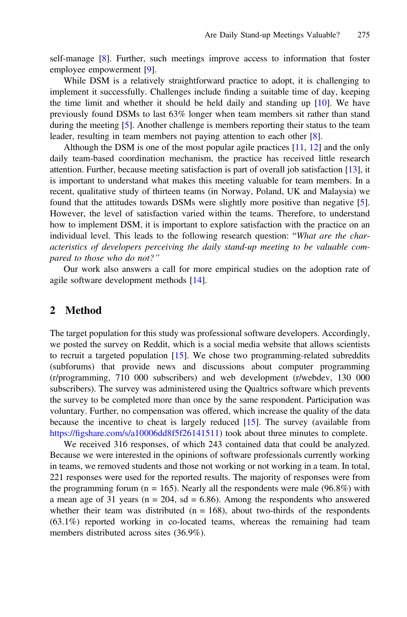self-manage [\[8](#page-6-0)]. Further, such meetings improve access to information that foster employee empowerment [[9\]](#page-6-0).

While DSM is a relatively straightforward practice to adopt, it is challenging to implement it successfully. Challenges include finding a suitable time of day, keeping the time limit and whether it should be held daily and standing up  $[10]$  $[10]$ . We have previously found DSMs to last 63% longer when team members sit rather than stand during the meeting [[5\]](#page-6-0). Another challenge is members reporting their status to the team leader, resulting in team members not paying attention to each other [[8\]](#page-6-0).

Although the DSM is one of the most popular agile practices  $[11, 12]$  $[11, 12]$  $[11, 12]$  $[11, 12]$  and the only daily team-based coordination mechanism, the practice has received little research attention. Further, because meeting satisfaction is part of overall job satisfaction [\[13](#page-7-0)], it is important to understand what makes this meeting valuable for team members. In a recent, qualitative study of thirteen teams (in Norway, Poland, UK and Malaysia) we found that the attitudes towards DSMs were slightly more positive than negative [[5\]](#page-6-0). However, the level of satisfaction varied within the teams. Therefore, to understand how to implement DSM, it is important to explore satisfaction with the practice on an individual level. This leads to the following research question: "What are the characteristics of developers perceiving the daily stand-up meeting to be valuable compared to those who do not?"

Our work also answers a call for more empirical studies on the adoption rate of agile software development methods [\[14](#page-7-0)].

#### 2 Method

The target population for this study was professional software developers. Accordingly, we posted the survey on Reddit, which is a social media website that allows scientists to recruit a targeted population  $[15]$  $[15]$ . We chose two programming-related subreddits (subforums) that provide news and discussions about computer programming (r/programming, 710 000 subscribers) and web development (r/webdev, 130 000 subscribers). The survey was administered using the Qualtrics software which prevents the survey to be completed more than once by the same respondent. Participation was voluntary. Further, no compensation was offered, which increase the quality of the data because the incentive to cheat is largely reduced [\[15](#page-7-0)]. The survey (available from https://fi[gshare.com/s/a10006dd8f5f26141511\)](https://figshare.com/s/a10006dd8f5f26141511) took about three minutes to complete.

We received 316 responses, of which 243 contained data that could be analyzed. Because we were interested in the opinions of software professionals currently working in teams, we removed students and those not working or not working in a team. In total, 221 responses were used for the reported results. The majority of responses were from the programming forum ( $n = 165$ ). Nearly all the respondents were male (96.8%) with a mean age of 31 years ( $n = 204$ , sd = 6.86). Among the respondents who answered whether their team was distributed  $(n = 168)$ , about two-thirds of the respondents (63.1%) reported working in co-located teams, whereas the remaining had team members distributed across sites (36.9%).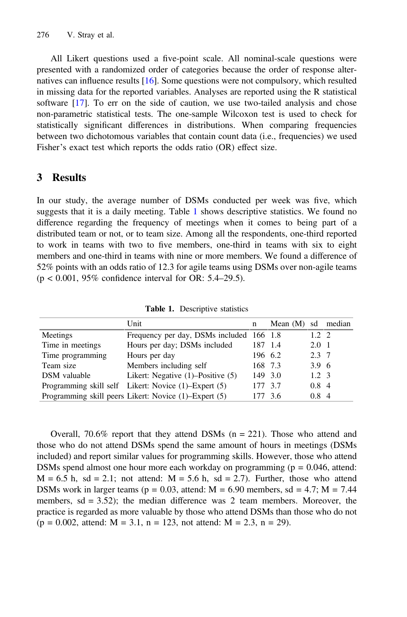All Likert questions used a five-point scale. All nominal-scale questions were presented with a randomized order of categories because the order of response alternatives can influence results [\[16](#page-7-0)]. Some questions were not compulsory, which resulted in missing data for the reported variables. Analyses are reported using the R statistical software [\[17](#page-7-0)]. To err on the side of caution, we use two-tailed analysis and chose non-parametric statistical tests. The one-sample Wilcoxon test is used to check for statistically significant differences in distributions. When comparing frequencies between two dichotomous variables that contain count data (i.e., frequencies) we used Fisher's exact test which reports the odds ratio (OR) effect size.

### 3 Results

In our study, the average number of DSMs conducted per week was five, which suggests that it is a daily meeting. Table 1 shows descriptive statistics. We found no difference regarding the frequency of meetings when it comes to being part of a distributed team or not, or to team size. Among all the respondents, one-third reported to work in teams with two to five members, one-third in teams with six to eight members and one-third in teams with nine or more members. We found a difference of 52% points with an odds ratio of 12.3 for agile teams using DSMs over non-agile teams (p < 0.001, 95% confidence interval for OR: 5.4–29.5).

| Unit                                                  | n |                                                                                                            |                                                                                                                            |
|-------------------------------------------------------|---|------------------------------------------------------------------------------------------------------------|----------------------------------------------------------------------------------------------------------------------------|
|                                                       |   |                                                                                                            |                                                                                                                            |
| Hours per day; DSMs included                          |   |                                                                                                            |                                                                                                                            |
| Hours per day                                         |   |                                                                                                            |                                                                                                                            |
| Members including self                                |   |                                                                                                            |                                                                                                                            |
| Likert: Negative (1)–Positive (5)                     |   |                                                                                                            |                                                                                                                            |
| Programming skill self Likert: Novice (1)-Expert (5)  |   |                                                                                                            |                                                                                                                            |
| Programming skill peers Likert: Novice (1)–Expert (5) |   |                                                                                                            |                                                                                                                            |
|                                                       |   | Frequency per day, DSMs included 166 1.8<br>187 1.4<br>196 6.2<br>168 7.3<br>149 3.0<br>177 3.7<br>177 3.6 | Mean (M) sd median<br>$1.2 \pm 2.$<br>$2.0 \pm 1$<br>2.3 7<br>3.9 6<br>$1.2 \pm 3$<br>$0.8 \text{ } 4$<br>0.8 <sub>4</sub> |

Table 1. Descriptive statistics

Overall, 70.6% report that they attend DSMs ( $n = 221$ ). Those who attend and those who do not attend DSMs spend the same amount of hours in meetings (DSMs included) and report similar values for programming skills. However, those who attend DSMs spend almost one hour more each workday on programming ( $p = 0.046$ , attend:  $M = 6.5$  h, sd = 2.1; not attend:  $M = 5.6$  h, sd = 2.7). Further, those who attend DSMs work in larger teams ( $p = 0.03$ , attend:  $M = 6.90$  members, sd = 4.7;  $M = 7.44$ members,  $sd = 3.52$ ; the median difference was 2 team members. Moreover, the practice is regarded as more valuable by those who attend DSMs than those who do not  $(p = 0.002, \text{ attend: } M = 3.1, n = 123, \text{ not attend: } M = 2.3, n = 29).$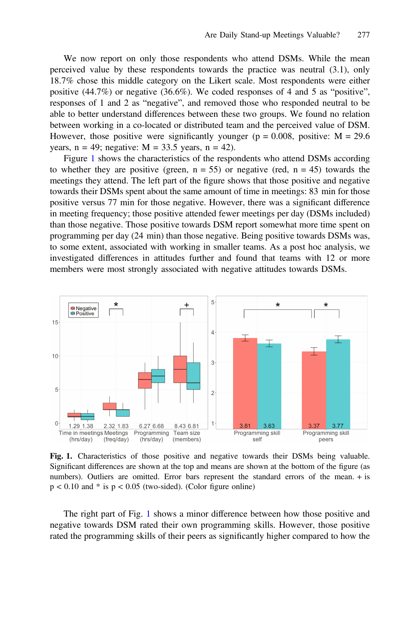We now report on only those respondents who attend DSMs. While the mean perceived value by these respondents towards the practice was neutral (3.1), only 18.7% chose this middle category on the Likert scale. Most respondents were either positive (44.7%) or negative (36.6%). We coded responses of 4 and 5 as "positive", responses of 1 and 2 as "negative", and removed those who responded neutral to be able to better understand differences between these two groups. We found no relation between working in a co-located or distributed team and the perceived value of DSM. However, those positive were significantly younger ( $p = 0.008$ , positive:  $M = 29.6$ ) years,  $n = 49$ ; negative:  $M = 33.5$  years,  $n = 42$ ).

Figure 1 shows the characteristics of the respondents who attend DSMs according to whether they are positive (green,  $n = 55$ ) or negative (red,  $n = 45$ ) towards the meetings they attend. The left part of the figure shows that those positive and negative towards their DSMs spent about the same amount of time in meetings: 83 min for those positive versus 77 min for those negative. However, there was a significant difference in meeting frequency; those positive attended fewer meetings per day (DSMs included) than those negative. Those positive towards DSM report somewhat more time spent on programming per day (24 min) than those negative. Being positive towards DSMs was, to some extent, associated with working in smaller teams. As a post hoc analysis, we investigated differences in attitudes further and found that teams with 12 or more members were most strongly associated with negative attitudes towards DSMs.



Fig. 1. Characteristics of those positive and negative towards their DSMs being valuable. Significant differences are shown at the top and means are shown at the bottom of the figure (as numbers). Outliers are omitted. Error bars represent the standard errors of the mean. + is  $p < 0.10$  and  $*$  is  $p < 0.05$  (two-sided). (Color figure online)

The right part of Fig. 1 shows a minor difference between how those positive and negative towards DSM rated their own programming skills. However, those positive rated the programming skills of their peers as significantly higher compared to how the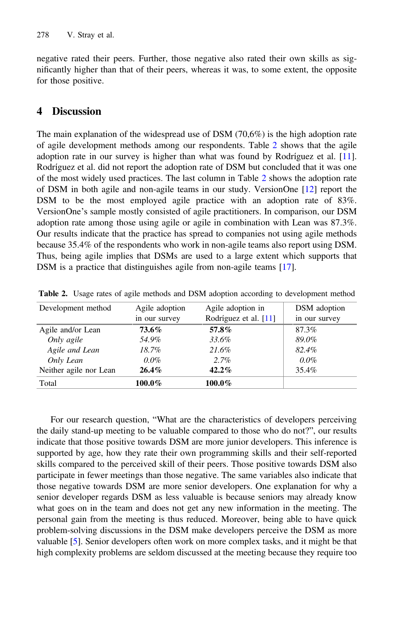negative rated their peers. Further, those negative also rated their own skills as significantly higher than that of their peers, whereas it was, to some extent, the opposite for those positive.

# 4 Discussion

The main explanation of the widespread use of DSM (70,6%) is the high adoption rate of agile development methods among our respondents. Table 2 shows that the agile adoption rate in our survey is higher than what was found by Rodríguez et al. [[11\]](#page-6-0). Rodríguez et al. did not report the adoption rate of DSM but concluded that it was one of the most widely used practices. The last column in Table 2 shows the adoption rate of DSM in both agile and non-agile teams in our study. VersionOne [\[12](#page-6-0)] report the DSM to be the most employed agile practice with an adoption rate of 83%. VersionOne's sample mostly consisted of agile practitioners. In comparison, our DSM adoption rate among those using agile or agile in combination with Lean was 87.3%. Our results indicate that the practice has spread to companies not using agile methods because 35.4% of the respondents who work in non-agile teams also report using DSM. Thus, being agile implies that DSMs are used to a large extent which supports that DSM is a practice that distinguishes agile from non-agile teams [[17\]](#page-7-0).

| Development method     | Agile adoption | Agile adoption in     | DSM adoption  |
|------------------------|----------------|-----------------------|---------------|
|                        | in our survey  | Rodríguez et al. [11] | in our survey |
| Agile and/or Lean      | 73.6%          | 57.8%                 | 87.3%         |
| Only agile             | 54.9%          | 33.6%                 | 89.0%         |
| Agile and Lean         | $18.7\%$       | 21.6%                 | 82.4%         |
| Only Lean              | $0.0\%$        | $2.7\%$               | $0.0\%$       |
| Neither agile nor Lean | $26.4\%$       | $42.2\%$              | 35.4%         |
| Total                  | 100.0%         | 100.0%                |               |

Table 2. Usage rates of agile methods and DSM adoption according to development method

For our research question, "What are the characteristics of developers perceiving the daily stand-up meeting to be valuable compared to those who do not?", our results indicate that those positive towards DSM are more junior developers. This inference is supported by age, how they rate their own programming skills and their self-reported skills compared to the perceived skill of their peers. Those positive towards DSM also participate in fewer meetings than those negative. The same variables also indicate that those negative towards DSM are more senior developers. One explanation for why a senior developer regards DSM as less valuable is because seniors may already know what goes on in the team and does not get any new information in the meeting. The personal gain from the meeting is thus reduced. Moreover, being able to have quick problem-solving discussions in the DSM make developers perceive the DSM as more valuable [[5\]](#page-6-0). Senior developers often work on more complex tasks, and it might be that high complexity problems are seldom discussed at the meeting because they require too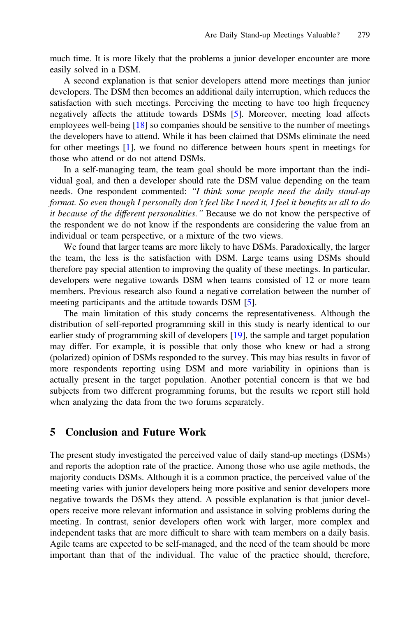much time. It is more likely that the problems a junior developer encounter are more easily solved in a DSM.

A second explanation is that senior developers attend more meetings than junior developers. The DSM then becomes an additional daily interruption, which reduces the satisfaction with such meetings. Perceiving the meeting to have too high frequency negatively affects the attitude towards DSMs [[5\]](#page-6-0). Moreover, meeting load affects employees well-being [\[18\]](#page-7-0) so companies should be sensitive to the number of meetings the developers have to attend. While it has been claimed that DSMs eliminate the need for other meetings [[1\]](#page-6-0), we found no difference between hours spent in meetings for those who attend or do not attend DSMs.

In a self-managing team, the team goal should be more important than the individual goal, and then a developer should rate the DSM value depending on the team needs. One respondent commented: "I think some people need the daily stand-up format. So even though I personally don't feel like I need it, I feel it benefits us all to do it because of the different personalities." Because we do not know the perspective of the respondent we do not know if the respondents are considering the value from an individual or team perspective, or a mixture of the two views.

We found that larger teams are more likely to have DSMs. Paradoxically, the larger the team, the less is the satisfaction with DSM. Large teams using DSMs should therefore pay special attention to improving the quality of these meetings. In particular, developers were negative towards DSM when teams consisted of 12 or more team members. Previous research also found a negative correlation between the number of meeting participants and the attitude towards DSM [[5\]](#page-6-0).

The main limitation of this study concerns the representativeness. Although the distribution of self-reported programming skill in this study is nearly identical to our earlier study of programming skill of developers [[19\]](#page-7-0), the sample and target population may differ. For example, it is possible that only those who knew or had a strong (polarized) opinion of DSMs responded to the survey. This may bias results in favor of more respondents reporting using DSM and more variability in opinions than is actually present in the target population. Another potential concern is that we had subjects from two different programming forums, but the results we report still hold when analyzing the data from the two forums separately.

#### 5 Conclusion and Future Work

The present study investigated the perceived value of daily stand-up meetings (DSMs) and reports the adoption rate of the practice. Among those who use agile methods, the majority conducts DSMs. Although it is a common practice, the perceived value of the meeting varies with junior developers being more positive and senior developers more negative towards the DSMs they attend. A possible explanation is that junior developers receive more relevant information and assistance in solving problems during the meeting. In contrast, senior developers often work with larger, more complex and independent tasks that are more difficult to share with team members on a daily basis. Agile teams are expected to be self-managed, and the need of the team should be more important than that of the individual. The value of the practice should, therefore,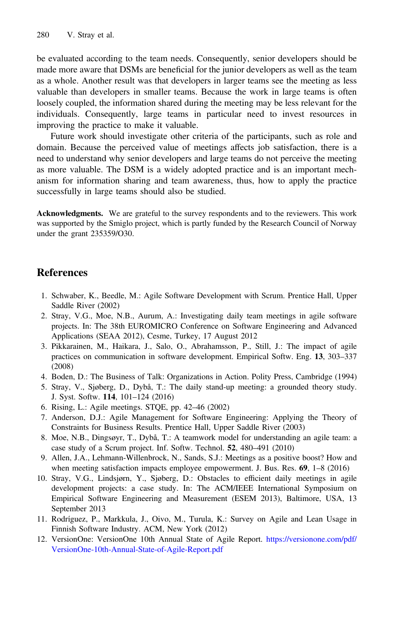<span id="page-6-0"></span>be evaluated according to the team needs. Consequently, senior developers should be made more aware that DSMs are beneficial for the junior developers as well as the team as a whole. Another result was that developers in larger teams see the meeting as less valuable than developers in smaller teams. Because the work in large teams is often loosely coupled, the information shared during the meeting may be less relevant for the individuals. Consequently, large teams in particular need to invest resources in improving the practice to make it valuable.

Future work should investigate other criteria of the participants, such as role and domain. Because the perceived value of meetings affects job satisfaction, there is a need to understand why senior developers and large teams do not perceive the meeting as more valuable. The DSM is a widely adopted practice and is an important mechanism for information sharing and team awareness, thus, how to apply the practice successfully in large teams should also be studied.

Acknowledgments. We are grateful to the survey respondents and to the reviewers. This work was supported by the Smiglo project, which is partly funded by the Research Council of Norway under the grant 235359/O30.

## References

- 1. Schwaber, K., Beedle, M.: Agile Software Development with Scrum. Prentice Hall, Upper Saddle River (2002)
- 2. Stray, V.G., Moe, N.B., Aurum, A.: Investigating daily team meetings in agile software projects. In: The 38th EUROMICRO Conference on Software Engineering and Advanced Applications (SEAA 2012), Cesme, Turkey, 17 August 2012
- 3. Pikkarainen, M., Haikara, J., Salo, O., Abrahamsson, P., Still, J.: The impact of agile practices on communication in software development. Empirical Softw. Eng. 13, 303–337 (2008)
- 4. Boden, D.: The Business of Talk: Organizations in Action. Polity Press, Cambridge (1994)
- 5. Stray, V., Sjøberg, D., Dybå, T.: The daily stand-up meeting: a grounded theory study. J. Syst. Softw. 114, 101–124 (2016)
- 6. Rising, L.: Agile meetings. STQE, pp. 42–46 (2002)
- 7. Anderson, D.J.: Agile Management for Software Engineering: Applying the Theory of Constraints for Business Results. Prentice Hall, Upper Saddle River (2003)
- 8. Moe, N.B., Dingsøyr, T., Dybå, T.: A teamwork model for understanding an agile team: a case study of a Scrum project. Inf. Softw. Technol. 52, 480–491 (2010)
- 9. Allen, J.A., Lehmann-Willenbrock, N., Sands, S.J.: Meetings as a positive boost? How and when meeting satisfaction impacts employee empowerment. J. Bus. Res. 69, 1–8 (2016)
- 10. Stray, V.G., Lindsjørn, Y., Sjøberg, D.: Obstacles to efficient daily meetings in agile development projects: a case study. In: The ACM/IEEE International Symposium on Empirical Software Engineering and Measurement (ESEM 2013), Baltimore, USA, 13 September 2013
- 11. Rodríguez, P., Markkula, J., Oivo, M., Turula, K.: Survey on Agile and Lean Usage in Finnish Software Industry. ACM, New York (2012)
- 12. VersionOne: VersionOne 10th Annual State of Agile Report. [https://versionone.com/pdf/](https://versionone.com/pdf/VersionOne-10th-Annual-State-of-Agile-Report.pdf) [VersionOne-10th-Annual-State-of-Agile-Report.pdf](https://versionone.com/pdf/VersionOne-10th-Annual-State-of-Agile-Report.pdf)